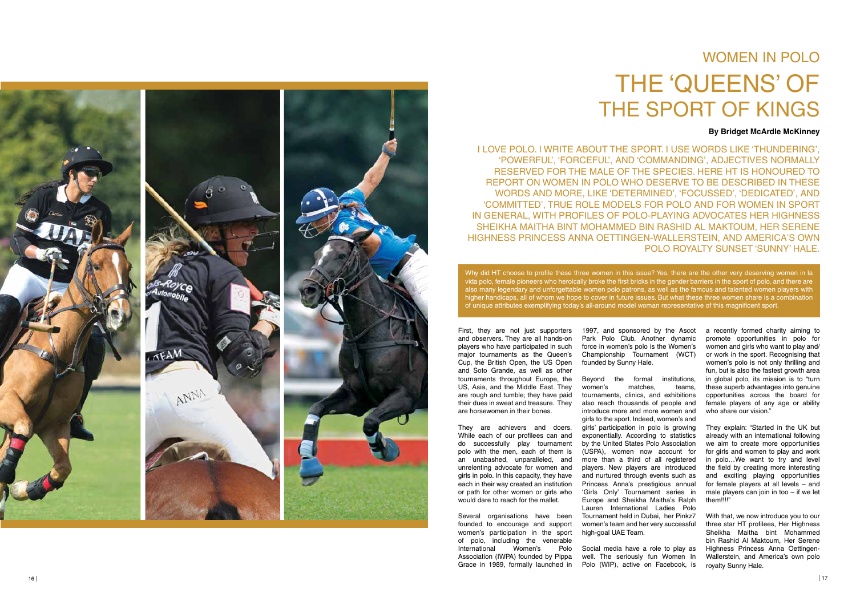# WOMEN IN POLO THE 'QUEENS' OF THE SPORT OF KINGS

#### **By Bridget McArdle McKinney**



I LOVE POLO. I WRITE ABOUT THE SPORT. I USE WORDS LIKE 'THUNDERING', 'POWERFUL', 'FORCEFUL', AND 'COMMANDING', ADJECTIVES NORMALLY RESERVED FOR THE MALE OF THE SPECIES. HERE HT IS HONOURED TO REPORT ON WOMEN IN POLO WHO DESERVE TO BE DESCRIBED IN THESE WORDS AND MORE, LIKE 'DETERMINED', 'FOCUSSED', 'DEDICATED', AND 'COMMITTED', TRUE ROLE MODELS FOR POLO AND FOR WOMEN IN SPORT IN GENERAL, WITH PROFILES OF POLO-PLAYING ADVOCATES HER HIGHNESS SHEIKHA MAITHA BINT MOHAMMED BIN RASHID AL MAKTOUM, HER SERENE HIGHNESS PRINCESS ANNA OETTINGEN-WALLERSTEIN, AND AMERICA'S OWN POLO ROYALTY SUNSET 'SUNNY' HALE.

First, they are not just supporters and observers. They are all hands-on players who have participated in such major tournaments as the Queen's Cup, the British Open, the US Open and Soto Grande, as well as other tournaments throughout Europe, the US, Asia, and the Middle East. They are rough and tumble; they have paid their dues in sweat and treasure. They are horsewomen in their bones.

They are achievers and doers. While each of our profilees can and do successfully play tournament polo with the men, each of them is an unabashed, unparalleled, and unrelenting advocate for women and girls in polo. In this capacity, they have each in their way created an institution or path for other women or girls who would dare to reach for the mallet.

Several organisations have been founded to encourage and support women's participation in the sport of polo, including the venerable International Women's Polo Association (IWPA) founded by Pippa Grace in 1989, formally launched in a recently formed charity aiming to promote opportunities in polo for women and girls who want to play and/ or work in the sport. Recognising that women's polo is not only thrilling and fun, but is also the fastest growth area in global polo, its mission is to "turn these superb advantages into genuine opportunities across the board for female players of any age or ability who share our vision."

Why did HT choose to profile these three women in this issue? Yes, there are the other very deserving women in la vida polo, female pioneers who heroically broke the first bricks in the gender barriers in the sport of polo, and there are also many legendary and unforgettable women polo patrons, as well as the famous and talented women players with higher handicaps, all of whom we hope to cover in future issues. But what these three women share is a combination of unique attributes exemplifying today's all-around model woman representative of this magnificent sport.

> 1997, and sponsored by the Ascot Park Polo Club. Another dynamic force in women's polo is the Women's Championship Tournament (WCT) founded by Sunny Hale.

> Beyond the formal institutions, women's matches, teams, tournaments, clinics, and exhibitions also reach thousands of people and introduce more and more women and girls to the sport. Indeed, women's and girls' participation in polo is growing exponentially. According to statistics by the United States Polo Association (USPA), women now account for more than a third of all registered players. New players are introduced and nurtured through events such as Princess Anna's prestigious annual 'Girls Only' Tournament series in Europe and Sheikha Maitha's Ralph Lauren International Ladies Polo Tournament held in Dubai, her Pinkz7 women's team and her very successful high-goal UAE Team.

> Social media have a role to play as well. The seriously fun Women In Polo (WIP), active on Facebook, is

They explain: "Started in the UK but already with an international following we aim to create more opportunities for girls and women to play and work in polo…We want to try and level the field by creating more interesting and exciting playing opportunities for female players at all levels – and male players can join in too – if we let them!!!!"

With that, we now introduce you to our three star HT profilees, Her Highness Sheikha Maitha bint Mohammed bin Rashid Al Maktoum, Her Serene Highness Princess Anna Oettingen-Wallerstein, and America's own polo royalty Sunny Hale.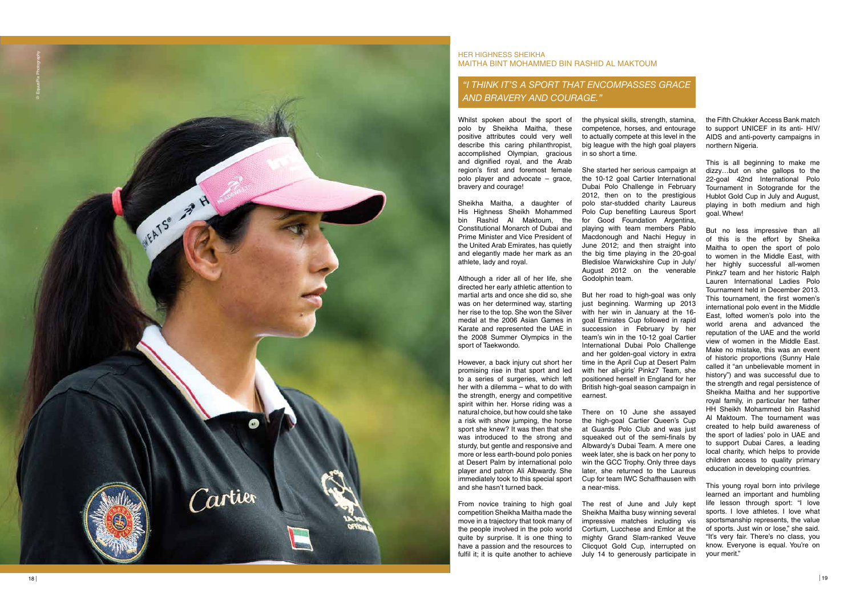# *"I think it ' s a spor t that enc ompasses g race and b ravery and courage."*

Whilst spoken about the sport of polo by Sheikha Maitha, these positive attributes could very well describe this caring philanthropist, accomplished Olympian, gracious and dignified royal, and the Arab region's first and foremost female polo player and advocate – grace, bravery and courage!

Sheikha Maitha, a daughter of His Highness Sheikh Mohammed bin Rashid Al Maktoum, the Constitutional Monarch of Dubai and Prime Minister and Vice President of the United Arab Emirates, has quietly and elegantly made her mark as an athlete, lady and royal.

Although a rider all of her life, she directed her early athletic attention to martial arts and once she did so, she was on her determined way, starting her rise to the top. She won the Silver medal at the 2006 Asian Games in Karate and represented the UAE in the 2008 Summer Olympics in the sport of Taekwondo.

However, a back injury cut short her promising rise in that sport and led to a series of surgeries, which left her with a dilemma – what to do with the strength, energy and competitive spirit within her. Horse riding was a natural choice, but how could she take a risk with show jumping, the horse sport she knew? It was then that she was introduced to the strong and sturdy, but gentle and responsive and more or less earth-bound polo ponies at Desert Palm by international polo player and patron Ali Albwardy. She immediately took to this special sport and she hasn't turned back.

From novice training to high goal competition Sheikha Maitha made the move in a trajectory that took many of the people involved in the polo world quite by surprise. It is one thing to have a passion and the resources to fulfil it; it is quite another to achieve

## HER HIGHNESS SHEIKHA MAITHA BINT MOHAMMED BIN RASHID AL MAKTOUM

the physical skills, strength, stamina, competence, horses, and entourage to actually compete at this level in the big league with the high goal players in so short a time.

She started her serious campaign at the 10-12 goal Cartier International Dubai Polo Challenge in February 2012, then on to the prestigious polo star-studded charity Laureus Polo Cup benefiting Laureus Sport for Good Foundation Argentina, playing with team members Pablo Macdonough and Nachi Heguy in June 2012; and then straight into the big time playing in the 20-goal Bledisloe Warwickshire Cup in July/ August 2012 on the venerable Godolphin team.

But her road to high-goal was only just beginning. Warming up 2013 with her win in January at the 16 goal Emirates Cup followed in rapid succession in February by her team's win in the 10-12 goal Cartier International Dubai Polo Challenge and her golden-goal victory in extra time in the April Cup at Desert Palm with her all-girls' Pinkz7 Team, she positioned herself in England for her British high-goal season campaign in earnest.

There on 10 June she assayed the high-goal Cartier Queen's Cup at Guards Polo Club and was just squeaked out of the semi-finals by Albwardy's Dubai Team. A mere one week later, she is back on her pony to win the GCC Trophy. Only three days later, she returned to the Laureus Cup for team IWC Schaffhausen with a near-miss.

The rest of June and July kept Sheikha Maitha busy winning several impressive matches including vis Cortium, Lucchese and Emlor at the mighty Grand Slam-ranked Veuve Clicquot Gold Cup, interrupted on July 14 to generously participate in



the Fifth Chukker Access Bank match to support UNICEF in its anti- HIV/ AIDS and anti-poverty campaigns in northern Nigeria.

This is all beginning to make me dizzy…but on she gallops to the 22-goal 42nd International Polo Tournament in Sotogrande for the Hublot Gold Cup in July and August, playing in both medium and high goal. Whew!

But no less impressive than all of this is the effort by Sheika Maitha to open the sport of polo to women in the Middle East, with her highly successful all-women Pinkz7 team and her historic Ralph Lauren International Ladies Polo Tournament held in December 2013. This tournament, the first women's international polo event in the Middle East, lofted women's polo into the world arena and advanced the reputation of the UAE and the world view of women in the Middle East. Make no mistake, this was an event of historic proportions (Sunny Hale called it "an unbelievable moment in history") and was successful due to the strength and regal persistence of Sheikha Maitha and her supportive royal family, in particular her father HH Sheikh Mohammed bin Rashid Al Maktoum. The tournament was created to help build awareness of the sport of ladies' polo in UAE and to support Dubai Cares, a leading local charity, which helps to provide children access to quality primary education in developing countries.

This young royal born into privilege learned an important and humbling life lesson through sport: "I love sports. I love athletes. I love what sportsmanship represents, the value of sports. Just win or lose," she said. "It's very fair. There's no class, you know. Everyone is equal. You're on your merit."

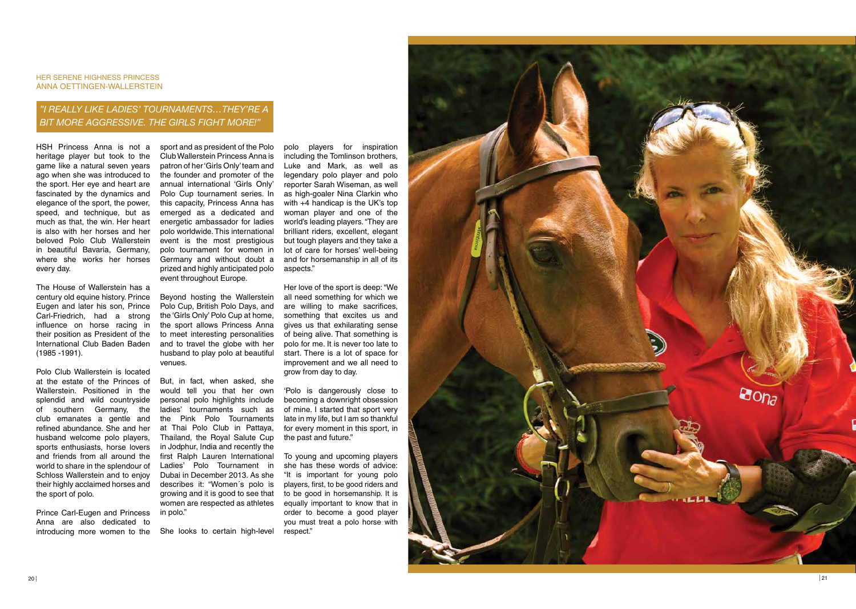#### HER SERENE HIGHNESS PRINCESS ANNA OETTINGEN-WALLERSTEIN

# *"I really li ke ladies' tournaments …they'r e a bit mor e agg ressive. The gi rls fight mor e!"*

HSH Princess Anna is not a heritage player but took to the game like a natural seven years ago when she was introduced to the sport. Her eye and heart are fascinated by the dynamics and elegance of the sport, the power, speed, and technique, but as much as that, the win. Her heart is also with her horses and her beloved Polo Club Wallerstein in beautiful Bavaria, Germany, where she works her horses every day.

The House of Wallerstein has a century old equine history. Prince Eugen and later his son, Prince Carl-Friedrich, had a strong influence on horse racing in their position as President of the International Club Baden Baden (1985 -1991).

Polo Club Wallerstein is located at the estate of the Princes of Wallerstein. Positioned in the splendid and wild countryside of southern Germany, the club emanates a gentle and refined abundance. She and her husband welcome polo players, sports enthusiasts, horse lovers and friends from all around the world to share in the splendour of Schloss Wallerstein and to enjoy their highly acclaimed horses and the sport of polo.

sport and as president of the Polo Club Wallerstein Princess Anna is patron of her 'Girls Only' team and the founder and promoter of the annual international 'Girls Only' Polo Cup tournament series. In this capacity, Princess Anna has emerged as a dedicated and energetic ambassador for ladies polo worldwide. This international event is the most prestigious polo tournament for women in Germany and without doubt a prized and highly anticipated polo event throughout Europe.

Prince Carl-Eugen and Princess Anna are also dedicated to introducing more women to the She looks to certain high-level

Beyond hosting the Wallerstein Polo Cup, British Polo Days, and the 'Girls Only' Polo Cup at home, the sport allows Princess Anna to meet interesting personalities and to travel the globe with her husband to play polo at beautiful venues.

But, in fact, when asked, she would tell you that her own personal polo highlights include ladies' tournaments such as the Pink Polo Tournaments at Thai Polo Club in Pattaya, Thailand, the Royal Salute Cup in Jodphur, India and recently the first Ralph Lauren International Ladies' Polo Tournament in Dubai in December 2013. As she describes it: "Women´s polo is growing and it is good to see that women are respected as athletes in polo."

polo players for inspiration including the Tomlinson brothers, Luke and Mark, as well as legendary polo player and polo reporter Sarah Wiseman, as well as high-goaler Nina Clarkin who with +4 handicap is the UK's top woman player and one of the world's leading players. "They are brilliant riders, excellent, elegant but tough players and they take a lot of care for horses' well-being and for horsemanship in all of its aspects."

Her love of the sport is deep: "We all need something for which we are willing to make sacrifices, something that excites us and gives us that exhilarating sense of being alive. That something is polo for me. It is never too late to start. There is a lot of space for improvement and we all need to grow from day to day.

'Polo is dangerously close to becoming a downright obsession of mine. I started that sport very late in my life, but I am so thankful for every moment in this sport, in the past and future."

To young and upcoming players she has these words of advice: "It is important for young polo players, first, to be good riders and to be good in horsemanship. It is equally important to know that in order to become a good player you must treat a polo horse with respect."